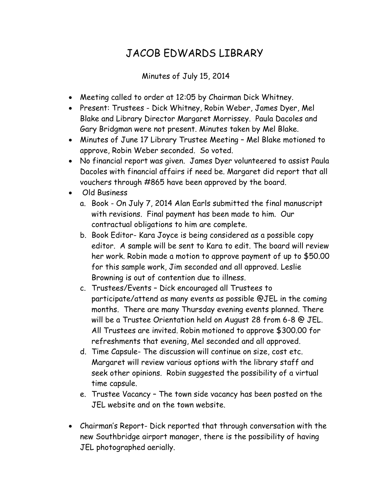## JACOB EDWARDS LIBRARY

Minutes of July 15, 2014

- Meeting called to order at 12:05 by Chairman Dick Whitney.
- Present: Trustees Dick Whitney, Robin Weber, James Dyer, Mel Blake and Library Director Margaret Morrissey. Paula Dacoles and Gary Bridgman were not present. Minutes taken by Mel Blake.
- Minutes of June 17 Library Trustee Meeting Mel Blake motioned to approve, Robin Weber seconded. So voted.
- No financial report was given. James Dyer volunteered to assist Paula Dacoles with financial affairs if need be. Margaret did report that all vouchers through #865 have been approved by the board.
- Old Business
	- a. Book On July 7, 2014 Alan Earls submitted the final manuscript with revisions. Final payment has been made to him. Our contractual obligations to him are complete.
	- b. Book Editor- Kara Joyce is being considered as a possible copy editor. A sample will be sent to Kara to edit. The board will review her work. Robin made a motion to approve payment of up to \$50.00 for this sample work, Jim seconded and all approved. Leslie Browning is out of contention due to illness.
	- c. Trustees/Events Dick encouraged all Trustees to participate/attend as many events as possible @JEL in the coming months. There are many Thursday evening events planned. There will be a Trustee Orientation held on August 28 from 6-8 @ JEL. All Trustees are invited. Robin motioned to approve \$300.00 for refreshments that evening, Mel seconded and all approved.
	- d. Time Capsule- The discussion will continue on size, cost etc. Margaret will review various options with the library staff and seek other opinions. Robin suggested the possibility of a virtual time capsule.
	- e. Trustee Vacancy The town side vacancy has been posted on the JEL website and on the town website.
- Chairman's Report- Dick reported that through conversation with the new Southbridge airport manager, there is the possibility of having JEL photographed aerially.